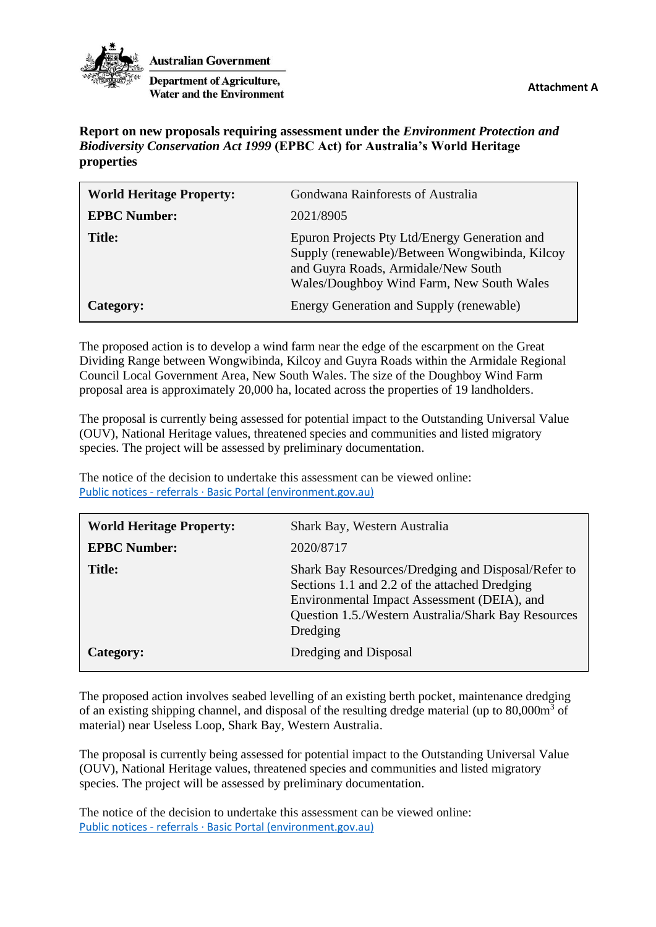



**Australian Government** 

**Department of Agriculture, Water and the Environment** 

**Report on new proposals requiring assessment under the** *Environment Protection and Biodiversity Conservation Act 1999* **(EPBC Act) for Australia's World Heritage properties** 

| <b>World Heritage Property:</b> | Gondwana Rainforests of Australia                                                                                                                                                   |
|---------------------------------|-------------------------------------------------------------------------------------------------------------------------------------------------------------------------------------|
| <b>EPBC Number:</b>             | 2021/8905                                                                                                                                                                           |
| <b>Title:</b>                   | Epuron Projects Pty Ltd/Energy Generation and<br>Supply (renewable)/Between Wongwibinda, Kilcoy<br>and Guyra Roads, Armidale/New South<br>Wales/Doughboy Wind Farm, New South Wales |
| Category:                       | Energy Generation and Supply (renewable)                                                                                                                                            |

The proposed action is to develop a wind farm near the edge of the escarpment on the Great Dividing Range between Wongwibinda, Kilcoy and Guyra Roads within the Armidale Regional Council Local Government Area, New South Wales. The size of the Doughboy Wind Farm proposal area is approximately 20,000 ha, located across the properties of 19 landholders.

The proposal is currently being assessed for potential impact to the Outstanding Universal Value (OUV), National Heritage values, threatened species and communities and listed migratory species. The project will be assessed by preliminary documentation.

The notice of the decision to undertake this assessment can be viewed online: Public notices - referrals [· Basic Portal \(environment.gov.au\)](http://epbcnotices.environment.gov.au/publicnoticesreferrals/)

| <b>World Heritage Property:</b> | Shark Bay, Western Australia                                                                                                                                                                                          |
|---------------------------------|-----------------------------------------------------------------------------------------------------------------------------------------------------------------------------------------------------------------------|
| <b>EPBC Number:</b>             | 2020/8717                                                                                                                                                                                                             |
| <b>Title:</b>                   | Shark Bay Resources/Dredging and Disposal/Refer to<br>Sections 1.1 and 2.2 of the attached Dredging<br>Environmental Impact Assessment (DEIA), and<br>Question 1.5./Western Australia/Shark Bay Resources<br>Dredging |
| Category:                       | Dredging and Disposal                                                                                                                                                                                                 |

The proposed action involves seabed levelling of an existing berth pocket, maintenance dredging of an existing shipping channel, and disposal of the resulting dredge material (up to 80,000m<sup>3</sup> of material) near Useless Loop, Shark Bay, Western Australia.

The proposal is currently being assessed for potential impact to the Outstanding Universal Value (OUV), National Heritage values, threatened species and communities and listed migratory species. The project will be assessed by preliminary documentation.

The notice of the decision to undertake this assessment can be viewed online: Public notices - referrals [· Basic Portal \(environment.gov.au\)](http://epbcnotices.environment.gov.au/publicnoticesreferrals/)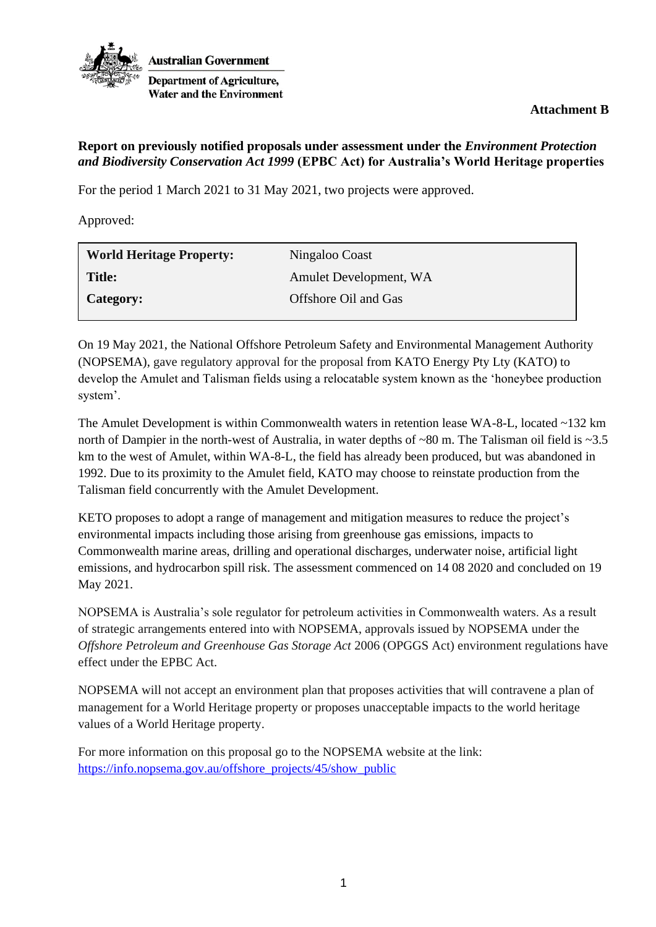

**Attachment B**

## **Report on previously notified proposals under assessment under the** *Environment Protection and Biodiversity Conservation Act 1999* **(EPBC Act) for Australia's World Heritage properties**

For the period 1 March 2021 to 31 May 2021, two projects were approved.

Approved:

| <b>World Heritage Property:</b> | Ningaloo Coast         |
|---------------------------------|------------------------|
| Title:                          | Amulet Development, WA |
| Category:                       | Offshore Oil and Gas   |

On 19 May 2021, the National Offshore Petroleum Safety and Environmental Management Authority (NOPSEMA), gave regulatory approval for the proposal from KATO Energy Pty Lty (KATO) to develop the Amulet and Talisman fields using a relocatable system known as the 'honeybee production system'.

The Amulet Development is within Commonwealth waters in retention lease WA-8-L, located ~132 km north of Dampier in the north-west of Australia, in water depths of ~80 m. The Talisman oil field is ~3.5 km to the west of Amulet, within WA-8-L, the field has already been produced, but was abandoned in 1992. Due to its proximity to the Amulet field, KATO may choose to reinstate production from the Talisman field concurrently with the Amulet Development.

KETO proposes to adopt a range of management and mitigation measures to reduce the project's environmental impacts including those arising from greenhouse gas emissions, impacts to Commonwealth marine areas, drilling and operational discharges, underwater noise, artificial light emissions, and hydrocarbon spill risk. The assessment commenced on 14 08 2020 and concluded on 19 May 2021.

NOPSEMA is Australia's sole regulator for petroleum activities in Commonwealth waters. As a result of strategic arrangements entered into with NOPSEMA, approvals issued by NOPSEMA under the *Offshore Petroleum and Greenhouse Gas Storage Act* 2006 (OPGGS Act) environment regulations have effect under the EPBC Act.

NOPSEMA will not accept an environment plan that proposes activities that will contravene a plan of management for a World Heritage property or proposes unacceptable impacts to the world heritage values of a World Heritage property.

For more information on this proposal go to the NOPSEMA website at the link: [https://info.nopsema.gov.au/offshore\\_projects/45/show\\_public](https://info.nopsema.gov.au/offshore_projects/45/show_public)